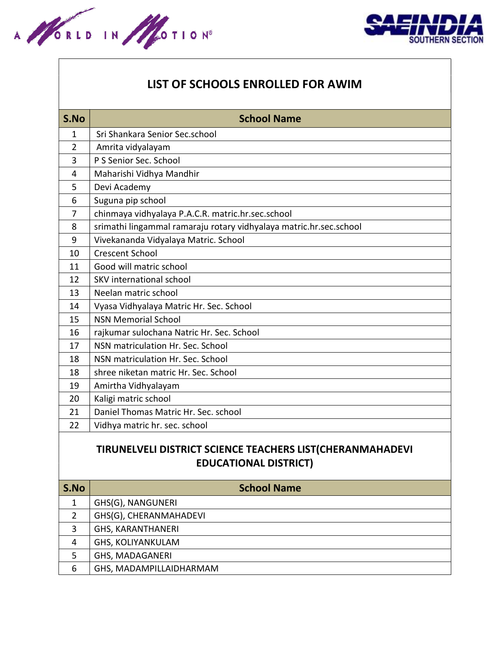



## LIST OF SCHOOLS ENROLLED FOR AWIM

| S.No         | <b>School Name</b>                                                 |
|--------------|--------------------------------------------------------------------|
| $\mathbf{1}$ | Sri Shankara Senior Sec.school                                     |
| 2            | Amrita vidyalayam                                                  |
| 3            | P S Senior Sec. School                                             |
| 4            | Maharishi Vidhya Mandhir                                           |
| 5            | Devi Academy                                                       |
| 6            | Suguna pip school                                                  |
| 7            | chinmaya vidhyalaya P.A.C.R. matric.hr.sec.school                  |
| 8            | srimathi lingammal ramaraju rotary vidhyalaya matric.hr.sec.school |
| 9            | Vivekananda Vidyalaya Matric. School                               |
| 10           | <b>Crescent School</b>                                             |
| 11           | Good will matric school                                            |
| 12           | <b>SKV</b> international school                                    |
| 13           | Neelan matric school                                               |
| 14           | Vyasa Vidhyalaya Matric Hr. Sec. School                            |
| 15           | <b>NSN Memorial School</b>                                         |
| 16           | rajkumar sulochana Natric Hr. Sec. School                          |
| 17           | NSN matriculation Hr. Sec. School                                  |
| 18           | NSN matriculation Hr. Sec. School                                  |
| 18           | shree niketan matric Hr. Sec. School                               |
| 19           | Amirtha Vidhyalayam                                                |
| 20           | Kaligi matric school                                               |
| 21           | Daniel Thomas Matric Hr. Sec. school                               |
| 22           | Vidhya matric hr. sec. school                                      |

## TIRUNELVELI DISTRICT SCIENCE TEACHERS LIST(CHERANMAHADEVI EDUCATIONAL DISTRICT)

| S.No | <b>School Name</b>       |
|------|--------------------------|
|      | GHS(G), NANGUNERI        |
| 2    | GHS(G), CHERANMAHADEVI   |
| 3    | <b>GHS, KARANTHANERI</b> |
| 4    | <b>GHS, KOLIYANKULAM</b> |
| 5    | <b>GHS, MADAGANERI</b>   |
| 6    | GHS, MADAMPILLAIDHARMAM  |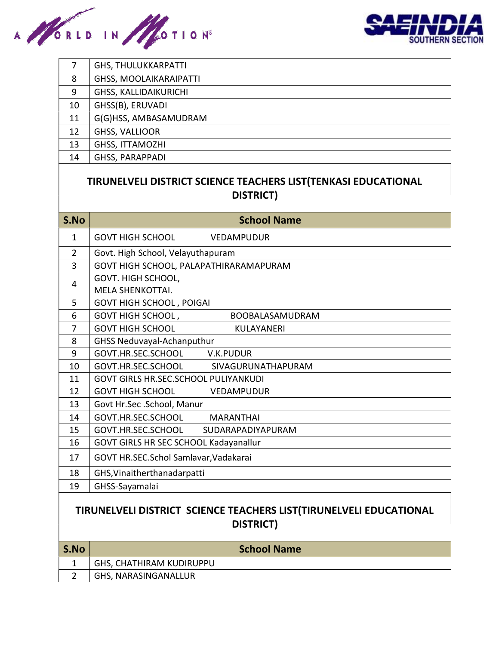



| 7  | <b>GHS, THULUKKARPATTI</b>    |
|----|-------------------------------|
| 8  | <b>GHSS, MOOLAIKARAIPATTI</b> |
| 9  | <b>GHSS, KALLIDAIKURICHI</b>  |
| 10 | GHSS(B), ERUVADI              |
| 11 | G(G)HSS, AMBASAMUDRAM         |
| 12 | GHSS, VALLIOOR                |
| 13 | GHSS, ITTAMOZHI               |
| 14 | <b>GHSS, PARAPPADI</b>        |
|    |                               |

## TIRUNELVELI DISTRICT SCIENCE TEACHERS LIST(TENKASI EDUCATIONAL DISTRICT)

| S.No                                                               | <b>School Name</b>                           |  |
|--------------------------------------------------------------------|----------------------------------------------|--|
| $\mathbf{1}$                                                       | <b>GOVT HIGH SCHOOL</b><br><b>VEDAMPUDUR</b> |  |
| $\overline{2}$                                                     | Govt. High School, Velayuthapuram            |  |
| $\overline{3}$                                                     | GOVT HIGH SCHOOL, PALAPATHIRARAMAPURAM       |  |
| 4                                                                  | GOVT. HIGH SCHOOL,                           |  |
|                                                                    | <b>MELA SHENKOTTAI.</b>                      |  |
| 5                                                                  | <b>GOVT HIGH SCHOOL, POIGAI</b>              |  |
| 6                                                                  | GOVT HIGH SCHOOL,<br>BOOBALASAMUDRAM         |  |
| $\overline{7}$                                                     | <b>GOVT HIGH SCHOOL</b><br><b>KULAYANERI</b> |  |
| 8                                                                  | <b>GHSS Neduvayal-Achanputhur</b>            |  |
| 9                                                                  | GOVT.HR.SEC.SCHOOL<br>V.K.PUDUR              |  |
| 10                                                                 | GOVT.HR.SEC.SCHOOL<br>SIVAGURUNATHAPURAM     |  |
| 11                                                                 | <b>GOVT GIRLS HR.SEC.SCHOOL PULIYANKUDI</b>  |  |
| 12                                                                 | <b>GOVT HIGH SCHOOL</b><br>VEDAMPUDUR        |  |
| 13                                                                 | Govt Hr.Sec .School, Manur                   |  |
| 14                                                                 | GOVT.HR.SEC.SCHOOL<br><b>MARANTHAI</b>       |  |
| 15                                                                 | GOVT.HR.SEC.SCHOOL<br>SUDARAPADIYAPURAM      |  |
| 16                                                                 | GOVT GIRLS HR SEC SCHOOL Kadayanallur        |  |
| 17                                                                 | GOVT HR.SEC.Schol Samlavar, Vadakarai        |  |
| 18                                                                 | GHS, Vinaitherthanadarpatti                  |  |
| 19                                                                 | GHSS-Sayamalai                               |  |
| TIRUNELVELI DISTRICT SCIENCE TEACHERS LIST(TIRUNELVELI EDUCATIONAL |                                              |  |

## TIRUNELVELI DISTRICT SCIENCE TEACHERS LIST(TIRUNELVELI EDUCATIONAL DISTRICT)

| S.No |                          | <b>School Name</b> |
|------|--------------------------|--------------------|
|      | GHS, CHATHIRAM KUDIRUPPU |                    |
|      | GHS, NARASINGANALLUR     |                    |